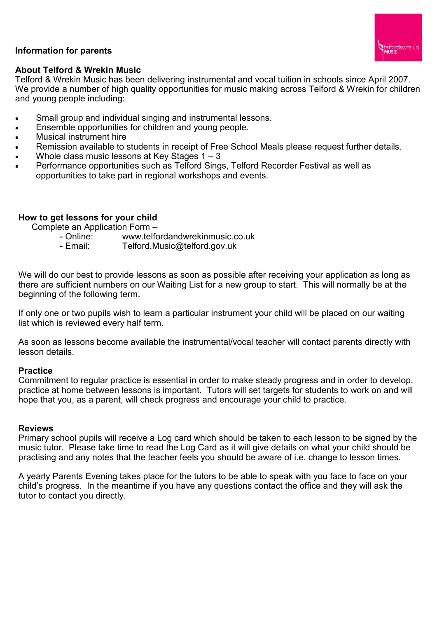# **Information for parents**



### **About Telford & Wrekin Music**

Telford & Wrekin Music has been delivering instrumental and vocal tuition in schools since April 2007. We provide a number of high quality opportunities for music making across Telford & Wrekin for children and young people including:

- Small group and individual singing and instrumental lessons.
- Ensemble opportunities for children and young people.
- Musical instrument hire
- Remission available to students in receipt of Free School Meals please request further details.
- Whole class music lessons at Key Stages 1 3
- Performance opportunities such as Telford Sings, Telford Recorder Festival as well as opportunities to take part in regional workshops and events.

## **How to get lessons for your child**

Complete an Application Form –

- Online: www.telfordandwrekinmusic.co.uk
- Email: Telford.Music@telford.gov.uk

We will do our best to provide lessons as soon as possible after receiving your application as long as there are sufficient numbers on our Waiting List for a new group to start. This will normally be at the beginning of the following term.

If only one or two pupils wish to learn a particular instrument your child will be placed on our waiting list which is reviewed every half term.

As soon as lessons become available the instrumental/vocal teacher will contact parents directly with lesson details.

### **Practice**

Commitment to regular practice is essential in order to make steady progress and in order to develop, practice at home between lessons is important. Tutors will set targets for students to work on and will hope that you, as a parent, will check progress and encourage your child to practice.

### **Reviews**

Primary school pupils will receive a Log card which should be taken to each lesson to be signed by the music tutor. Please take time to read the Log Card as it will give details on what your child should be practising and any notes that the teacher feels you should be aware of i.e. change to lesson times.

A yearly Parents Evening takes place for the tutors to be able to speak with you face to face on your child's progress. In the meantime if you have any questions contact the office and they will ask the tutor to contact you directly.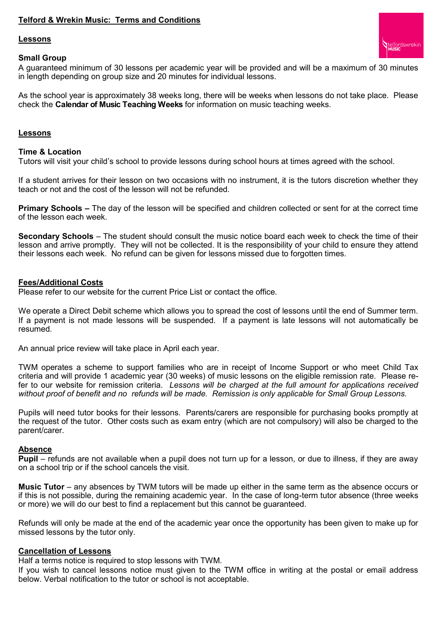### **Telford & Wrekin Music: Terms and Conditions**

#### **Lessons**

#### **Small Group**

A guaranteed minimum of 30 lessons per academic year will be provided and will be a maximum of 30 minutes in length depending on group size and 20 minutes for individual lessons.

telford&wrekin

As the school year is approximately 38 weeks long, there will be weeks when lessons do not take place. Please check the **Calendar of Music Teaching Weeks** for information on music teaching weeks.

#### **Lessons**

#### **Time & Location**

Tutors will visit your child's school to provide lessons during school hours at times agreed with the school.

If a student arrives for their lesson on two occasions with no instrument, it is the tutors discretion whether they teach or not and the cost of the lesson will not be refunded.

**Primary Schools –** The day of the lesson will be specified and children collected or sent for at the correct time of the lesson each week.

**Secondary Schools** – The student should consult the music notice board each week to check the time of their lesson and arrive promptly. They will not be collected. It is the responsibility of your child to ensure they attend their lessons each week. No refund can be given for lessons missed due to forgotten times.

#### **Fees/Additional Costs**

Please refer to our website for the current Price List or contact the office.

We operate a Direct Debit scheme which allows you to spread the cost of lessons until the end of Summer term. If a payment is not made lessons will be suspended. If a payment is late lessons will not automatically be resumed.

An annual price review will take place in April each year.

TWM operates a scheme to support families who are in receipt of Income Support or who meet Child Tax criteria and will provide 1 academic year (30 weeks) of music lessons on the eligible remission rate. Please refer to our website for remission criteria. *Lessons will be charged at the full amount for applications received without proof of benefit and no refunds will be made. Remission is only applicable for Small Group Lessons.*

Pupils will need tutor books for their lessons. Parents/carers are responsible for purchasing books promptly at the request of the tutor. Other costs such as exam entry (which are not compulsory) will also be charged to the parent/carer.

#### **Absence**

**Pupil** – refunds are not available when a pupil does not turn up for a lesson, or due to illness, if they are away on a school trip or if the school cancels the visit.

**Music Tutor** – any absences by TWM tutors will be made up either in the same term as the absence occurs or if this is not possible, during the remaining academic year. In the case of long-term tutor absence (three weeks or more) we will do our best to find a replacement but this cannot be guaranteed.

Refunds will only be made at the end of the academic year once the opportunity has been given to make up for missed lessons by the tutor only.

#### **Cancellation of Lessons**

Half a terms notice is required to stop lessons with TWM.

If you wish to cancel lessons notice must given to the TWM office in writing at the postal or email address below. Verbal notification to the tutor or school is not acceptable.